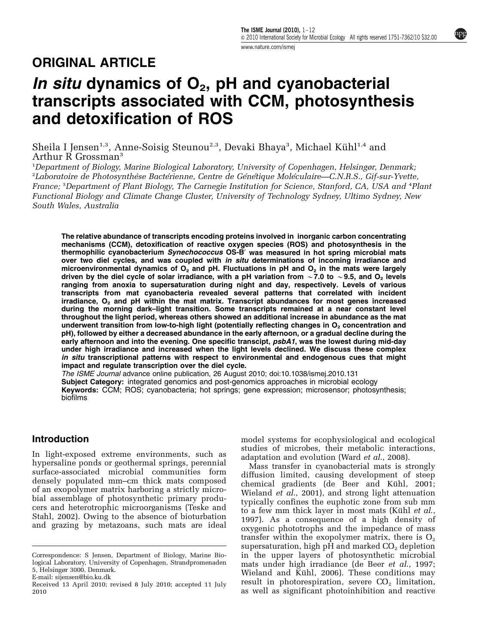npg

### ORIGINAL ARTICLE

## In situ dynamics of  $O<sub>2</sub>$ , pH and cyanobacterial transcripts associated with CCM, photosynthesis and detoxification of ROS

Sheila I Jensen<sup>1,3</sup>, Anne-Soisig Steunou<sup>2,3</sup>, Devaki Bhaya<sup>3</sup>, Michael Kühl<sup>1,4</sup> and Arthur R Grossman<sup>3</sup>

<sup>1</sup>Department of Biology, Marine Biological Laboratory, University of Copenhagen, Helsingør, Denmark, <sup>2</sup>Laboratoire de Photosynthèse Bactérienne, Centre de Génétique Moléculaire—C.N.R.S., Gif-sur-Yvette, France; <sup>3</sup>Department of Plant Biology, The Carnegie Institution for Science, Stanford, CA, USA and <sup>4</sup>Plant Functional Biology and Climate Change Cluster, University of Technology Sydney, Ultimo Sydney, New South Wales, Australia

The relative abundance of transcripts encoding proteins involved in inorganic carbon concentrating mechanisms (CCM), detoxification of reactive oxygen species (ROS) and photosynthesis in the thermophilic cyanobacterium Synechococcus OS-B<sup>'</sup> was measured in hot spring microbial mats over two diel cycles, and was coupled with in situ determinations of incoming irradiance and microenvironmental dynamics of  $O<sub>2</sub>$  and pH. Fluctuations in pH and  $O<sub>2</sub>$  in the mats were largely driven by the diel cycle of solar irradiance, with a pH variation from  $\sim$  7.0 to  $\sim$  9.5, and O<sub>2</sub> levels ranging from anoxia to supersaturation during night and day, respectively. Levels of various transcripts from mat cyanobacteria revealed several patterns that correlated with incident irradiance,  $O<sub>2</sub>$  and pH within the mat matrix. Transcript abundances for most genes increased during the morning dark–light transition. Some transcripts remained at a near constant level throughout the light period, whereas others showed an additional increase in abundance as the mat underwent transition from low-to-high light (potentially reflecting changes in  $O<sub>2</sub>$  concentration and pH), followed by either a decreased abundance in the early afternoon, or a gradual decline during the early afternoon and into the evening. One specific transcipt, psbA1, was the lowest during mid-day under high irradiance and increased when the light levels declined. We discuss these complex in situ transcriptional patterns with respect to environmental and endogenous cues that might impact and regulate transcription over the diel cycle.

The ISME Journal advance online publication, 26 August 2010; doi:[10.1038/ismej.2010.131](http://dx.doi.org/10.1038/ismej.2010.131) Subject Category: integrated genomics and post-genomics approaches in microbial ecology Keywords: CCM; ROS; cyanobacteria; hot springs; gene expression; microsensor; photosynthesis; biofilms

#### Introduction

In light-exposed extreme environments, such as hypersaline ponds or geothermal springs, perennial surface-associated microbial communities form densely populated mm–cm thick mats composed of an exopolymer matrix harboring a strictly microbial assemblage of photosynthetic primary producers and heterotrophic microorganisms [\(Teske and](#page-10-0) [Stahl, 2002\)](#page-10-0). Owing to the absence of bioturbation and grazing by metazoans, such mats are ideal model systems for ecophysiological and ecological studies of microbes, their metabolic interactions, adaptation and evolution (Ward et al[., 2008\)](#page-10-0).

Mass transfer in cyanobacterial mats is strongly diffusion limited, causing development of steep chemical gradients (de Beer and Kühl, 2001; [Wieland](#page-10-0) et al., 2001), and strong light attenuation typically confines the euphotic zone from sub mm to a few mm thick layer in most mats (Kühl et al., [1997\)](#page-9-0). As a consequence of a high density of oxygenic phototrophs and the impedance of mass transfer within the exopolymer matrix, there is  $O<sub>2</sub>$ supersaturation, high pH and marked  $CO<sub>2</sub>$  depletion in the upper layers of photosynthetic microbial mats under high irradiance [\(de Beer](#page-9-0) et al., 1997; Wieland and Kühl, 2006). These conditions may result in photorespiration, severe  $CO<sub>2</sub>$  limitation, Received 13 April 2010; revised 8 July 2010; accepted 11 July result in photorespiration, severe  $\overline{U}_2$  limitation, 2010<br>as well as significant photoinhibition and reactive

Correspondence: S Jensen, Department of Biology, Marine Biological Laboratory, University of Copenhagen, Strandpromenaden 5, Helsingør 3000, Denmark.

E-mail: [sijensen@bio.ku.dk](mailto:sijensen@bio.ku.dk)

<sup>2010</sup>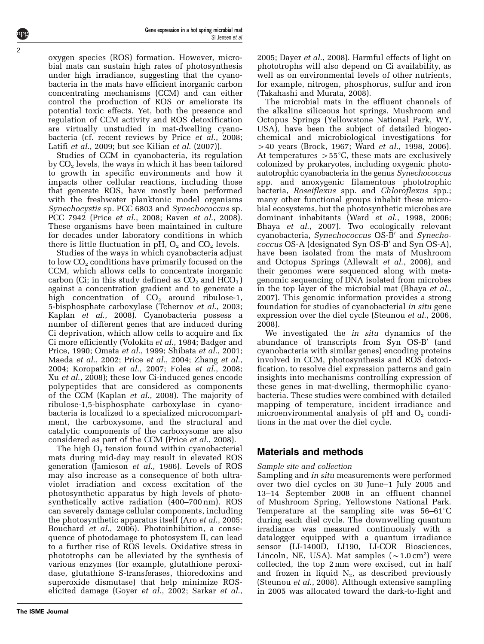Gene expression in a hot spring microbial mat

SI Jensen et al

oxygen species (ROS) formation. However, microbial mats can sustain high rates of photosynthesis under high irradiance, suggesting that the cyanobacteria in the mats have efficient inorganic carbon concentrating mechanisms (CCM) and can either control the production of ROS or ameliorate its potential toxic effects. Yet, both the presence and regulation of CCM activity and ROS detoxification are virtually unstudied in mat-dwelling cyanobacteria (cf. recent reviews by Price et al[., 2008;](#page-10-0) Latifi et al[., 2009](#page-9-0); but see Kilian et al[. \(2007\)](#page-9-0)).

Studies of CCM in cyanobacteria, its regulation by  $CO<sub>2</sub>$  levels, the ways in which it has been tailored to growth in specific environments and how it impacts other cellular reactions, including those that generate ROS, have mostly been performed with the freshwater planktonic model organisms Synechocystis sp. PCC 6803 and Synechococcus sp. PCC 7942 (Price et al[., 2008;](#page-10-0) Raven et al[., 2008](#page-10-0)). These organisms have been maintained in culture for decades under laboratory conditions in which there is little fluctuation in  $pH$ ,  $O_2$  and  $CO_2$  levels.

Studies of the ways in which cyanobacteria adjust to low  $CO<sub>2</sub>$  conditions have primarily focused on the CCM, which allows cells to concentrate inorganic carbon (Ci; in this study defined as  $CO_2$  and  $\check{\mathrm{HCO}}_{3}^-$ ) against a concentration gradient and to generate a high concentration of  $CO<sub>2</sub>$  around ribulose-1, 5-bisphosphate carboxylase [\(Tchernov](#page-10-0) et al., 2003; Kaplan et al[., 2008](#page-9-0)). Cyanobacteria possess a number of different genes that are induced during Ci deprivation, which allow cells to acquire and fix Ci more efficiently ([Volokita](#page-10-0) et al., 1984; [Badger and](#page-9-0) [Price, 1990;](#page-9-0) Omata et al[., 1999; Shibata](#page-10-0) et al., 2001; Maeda et al[., 2002](#page-9-0); Price et al[., 2004;](#page-10-0) [Zhang](#page-11-0) et al., [2004;](#page-11-0) [Koropatkin](#page-9-0) et al., 2007; Folea et al[., 2008;](#page-9-0) Xu et al[., 2008\)](#page-11-0); these low Ci-induced genes encode polypeptides that are considered as components of the CCM (Kaplan et al[., 2008\)](#page-9-0). The majority of ribulose-1,5-bisphosphate carboxylase in cyanobacteria is localized to a specialized microcompartment, the carboxysome, and the structural and catalytic components of the carboxysome are also considered as part of the CCM (Price et al[., 2008\)](#page-10-0).

The high  $O_2$  tension found within cyanobacterial mats during mid-day may result in elevated ROS generation [\(Jamieson](#page-9-0) et al., 1986). Levels of ROS may also increase as a consequence of both ultraviolet irradiation and excess excitation of the photosynthetic apparatus by high levels of photosynthetically active radiation (400–700 nm). ROS can severely damage cellular components, including the photosynthetic apparatus itself (Aro *et al.*, 2005; [Bouchard](#page-9-0) et al., 2006). Photoinhibition, a consequence of photodamage to photosystem II, can lead to a further rise of ROS levels. Oxidative stress in phototrophs can be alleviated by the synthesis of various enzymes (for example, glutathione peroxidase, glutathione S-transferases, thioredoxins and superoxide dismutase) that help minimize ROSelicited damage (Goyer et al[., 2002;](#page-9-0) [Sarkar](#page-10-0) et al.,

[2005;](#page-10-0) Dayer et al[., 2008\)](#page-9-0). Harmful effects of light on phototrophs will also depend on Ci availability, as well as on environmental levels of other nutrients, for example, nitrogen, phosphorus, sulfur and iron ([Takahashi and Murata, 2008\)](#page-10-0).

The microbial mats in the effluent channels of the alkaline siliceous hot springs, Mushroom and Octopus Springs (Yellowstone National Park, WY, USA), have been the subject of detailed biogeochemical and microbiological investigations for  $>$ 40 years ([Brock, 1967;](#page-9-0) Ward *et al.*, 1998, 2006). At temperatures  $>55^{\circ}C$ , these mats are exclusively colonized by prokaryotes, including oxygenic photoautotrophic cyanobacteria in the genus Synechococcus spp. and anoxygenic filamentous phototrophic bacteria, Roseiflexus spp. and Chloroflexus spp.; many other functional groups inhabit these microbial ecosystems, but the photosynthetic microbes are dominant inhabitants (Ward et al[., 1998, 2006;](#page-10-0) Bhaya et al[., 2007\)](#page-9-0). Two ecologically relevant cyanobacteria, Synechococcus OS-B' and Synecho $coccus$  OS-A (designated Syn OS-B' and Syn OS-A), have been isolated from the mats of Mushroom and Octopus Springs ([Allewalt](#page-9-0) et al., 2006), and their genomes were sequenced along with metagenomic sequencing of DNA isolated from microbes in the top layer of the microbial mat ([Bhaya](#page-9-0) et al., [2007\)](#page-9-0). This genomic information provides a strong foundation for studies of cyanobacterial in situ gene expression over the diel cycle ([Steunou](#page-10-0) et al., 2006, [2008\)](#page-10-0).

We investigated the *in situ* dynamics of the abundance of transcripts from  $\text{Syn } \text{OS-B}'$  (and cyanobacteria with similar genes) encoding proteins involved in CCM, photosynthesis and ROS detoxification, to resolve diel expression patterns and gain insights into mechanisms controlling expression of these genes in mat-dwelling, thermophilic cyanobacteria. These studies were combined with detailed mapping of temperature, incident irradiance and microenvironmental analysis of  $pH$  and  $O<sub>2</sub>$  conditions in the mat over the diel cycle.

#### Materials and methods

#### Sample site and collection

Sampling and in situ measurements were performed over two diel cycles on 30 June–1 July 2005 and 13–14 September 2008 in an effluent channel of Mushroom Spring, Yellowstone National Park. Temperature at the sampling site was  $56-61^{\circ}C$ during each diel cycle. The downwelling quantum irradiance was measured continuously with a datalogger equipped with a quantum irradiance sensor (LI-1400D, LI190, LI-COR Biosciences, Lincoln, NE, USA). Mat samples  $({\sim}1.0 \text{ cm}^2)$  were collected, the top 2 mm were excised, cut in half and frozen in liquid  $N_2$ , as described previously ([Steunou](#page-10-0) et al., 2008). Although extensive sampling in 2005 was allocated toward the dark-to-light and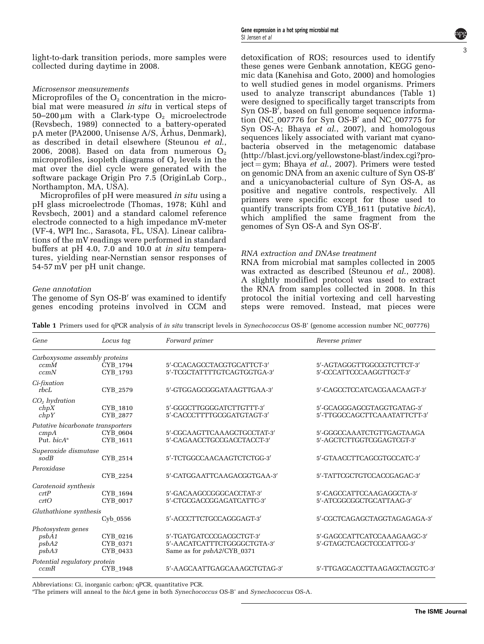light-to-dark transition periods, more samples were collected during daytime in 2008.

#### Microsensor measurements

Microprofiles of the  $O<sub>2</sub>$  concentration in the microbial mat were measured in situ in vertical steps of  $50-200 \mu m$  with a Clark-type  $O_2$  microelectrode [\(Revsbech, 1989\)](#page-10-0) connected to a battery-operated pA meter (PA2000, Unisense A/S, Arhus, Denmark), as described in detail elsewhere ([Steunou](#page-10-0) et al., [2006, 2008\)](#page-10-0). Based on data from numerous  $O_2$ microprofiles, isopleth diagrams of  $O<sub>2</sub>$  levels in the mat over the diel cycle were generated with the software package Origin Pro 7.5 (OriginLab Corp., Northampton, MA, USA).

Microprofiles of pH were measured *in situ* using a pH glass microelectrode [\(Thomas, 1978;](#page-10-0) Kühl and [Revsbech, 2001](#page-9-0)) and a standard calomel reference electrode connected to a high impedance mV-meter (VF-4, WPI Inc., Sarasota, FL, USA). Linear calibrations of the mV readings were performed in standard buffers at pH 4.0, 7.0 and 10.0 at in situ temperatures, yielding near-Nernstian sensor responses of 54-57 mV per pH unit change.

#### Gene annotation

The genome of Syn OS-B' was examined to identify genes encoding proteins involved in CCM and

detoxification of ROS; resources used to identify these genes were Genbank annotation, KEGG genomic data [\(Kanehisa and Goto, 2000\)](#page-9-0) and homologies to well studied genes in model organisms. Primers used to analyze transcript abundances (Table 1) were designed to specifically target transcripts from Syn OS-B<sup>*i*</sup>, based on full genome sequence information (NC\_007776 for Syn  $OS-B'$  and NC\_007775 for Syn OS-A; Bhaya et al[., 2007\)](#page-9-0), and homologous sequences likely associated with variant mat cyanobacteria observed in the metagenomic database [\(http://blast.jcvi.org/yellowstone-blast/index.cgi?pro](http://blast.jcvi.org/yellowstone-blast/index.cgi?project=gym)[ject](http://blast.jcvi.org/yellowstone-blast/index.cgi?project=gym) = [gym](http://blast.jcvi.org/yellowstone-blast/index.cgi?project=gym); Bhaya et al[., 2007\)](#page-9-0). Primers were tested on genomic DNA from an axenic culture of Syn OS-B' and a unicyanobacterial culture of Syn OS-A, as positive and negative controls, respectively. All primers were specific except for those used to quantify transcripts from CYB\_1611 (putative bicA), which amplified the same fragment from the genomes of Syn OS-A and Syn OS-B'.

#### RNA extraction and DNAse treatment

RNA from microbial mat samples collected in 2005 was extracted as described ([Steunou](#page-10-0) et al., 2008). A slightly modified protocol was used to extract the RNA from samples collected in 2008. In this protocol the initial vortexing and cell harvesting steps were removed. Instead, mat pieces were

Table 1 Primers used for qPCR analysis of in situ transcript levels in Synechococcus OS-B' (genome accession number NC\_007776)

| Gene                                                       | Locus tag                        | Forward primer                                                                        | Reverse primer                                             |
|------------------------------------------------------------|----------------------------------|---------------------------------------------------------------------------------------|------------------------------------------------------------|
| Carboxysome assembly proteins<br>ccmM<br>ccmN              | CYB 1794<br>CYB 1793             | 5'-CCACAGCCTACGTGCATTCT-3'<br>5'-TCGCTATTTTGTCAGTGGTGA-3'                             | 5'-AGTAGGGTTGGCCGTCTTCT-3'<br>5'-CCCATTCCCAAGGTTGCT-3'     |
| Ci-fixation<br>rbcL                                        | CYB 2579                         | 5'-GTGGAGCGGGATAAGTTGAA-3'                                                            | 5'-CAGCCTCCATCACGAACAAGT-3'                                |
| $CO2$ hydration<br>chpX<br>chpY                            | CYB 1810<br>CYB 2877             | 5'-GGGCTTGGGGATCTTGTTT-3'<br>5'-CACCCTTTTGCGGATGTAGT-3'                               | 5'-GCAGGGAGCGTAGGTGATAG-3'<br>5'-TTGGCCAGCTTCAAATATTCTT-3' |
| Putative bicarbonate transporters<br>cmpA<br>Put. $bicA^a$ | CYB 0604<br>CYB 1611             | 5'-CGCAAGTTCAAAGCTGCCTAT-3'<br>5'-CAGAACCTGCCGACCTACCT-3'                             | 5'-GGGCCAAATCTGTTGAGTAAGA<br>5'-AGCTCTTGGTCGGAGTCGT-3'     |
| Superoxide dismutase<br>sodB                               | CYB 2514                         | 5'-TCTGGCCAACAAGTCTCTGG-3'                                                            | 5'-GTAACCTTCAGCGTGCCATC-3'                                 |
| Peroxidase                                                 | CYB 2254                         | 5'-CATGGAATTCAAGACGGTGAA-3'                                                           | 5'-TATTCGCTGTCCACCGAGAC-3'                                 |
| Carotenoid synthesis<br>$cr$ t $P$<br>crtO                 | CYB 1694<br>CYB 0017             | 5'-GACAAGCCGGGCACCTAT-3'<br>5'-CTGCGACCGGAGATCATTC-3'                                 | 5'-CAGCCATTCCAAGAGGCTA-3'<br>5'-ATCGGCGGCTGCATTAAG-3'      |
| Gluthathione synthesis                                     | Cyb 0556                         | 5'-ACCCTTCTGCCAGGGAGT-3'                                                              | 5'-CGCTCAGAGCTAGGTAGAGAGA-3'                               |
| Photosystem genes<br>psbA1<br>psbA2<br>psbA3               | CYB 0216<br>CYB 0371<br>CYB 0433 | 5'-TGATGATCCCGACGCTGT-3'<br>5'-AACATCATTTCTGGGGCTGTA-3'<br>Same as for psbA2/CYB_0371 | 5'-GAGCCATTCATCCAAAGAAGC-3'<br>5'-GTAGCTCAGCTCCCATTCG-3'   |
| Potential regulatory protein<br>ccmR                       | CYB 1948                         | 5'-AAGCAATTGAGCAAAGCTGTAG-3'                                                          | 5'-TTGAGCACCTTAAGAGCTACGTC-3'                              |

Abbreviations: Ci, inorganic carbon; qPCR, quantitative PCR.

<sup>a</sup>The primers will anneal to the bicA gene in both Synechococcus OS-B' and Synechococcus OS-A.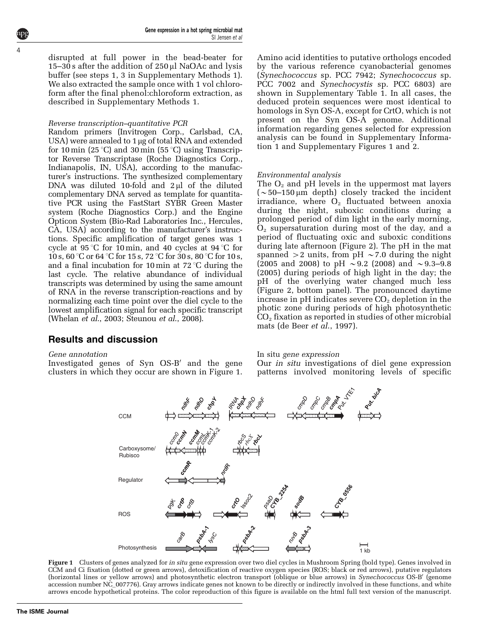disrupted at full power in the bead-beater for 15–30 s after the addition of  $250 \mu$ l NaOAc and lysis buffer (see steps 1, 3 in Supplementary Methods 1). We also extracted the sample once with 1 vol chloroform after the final phenol:chloroform extraction, as described in Supplementary Methods 1.

#### Reverse transcription–quantitative PCR

Random primers (Invitrogen Corp., Carlsbad, CA, USA) were annealed to 1 µg of total RNA and extended for 10 min (25 °C) and 30 min (55 °C) using Transcriptor Reverse Transcriptase (Roche Diagnostics Corp., Indianapolis, IN, USA), according to the manufacturer's instructions. The synthesized complementary DNA was diluted 10-fold and  $2 \mu l$  of the diluted complementary DNA served as template for quantitative PCR using the FastStart SYBR Green Master system (Roche Diagnostics Corp.) and the Engine Opticon System (Bio-Rad Laboratories Inc., Hercules, CA, USA) according to the manufacturer's instructions. Specific amplification of target genes was 1 cycle at  $95^{\circ}$ C for 10 min, and 40 cycles at  $94^{\circ}$ C for 10 s, 60 °C or 64 °C for 15 s, 72 °C for 30 s, 80 °C for 10 s, and a final incubation for 10 min at  $72^{\circ}$ C during the last cycle. The relative abundance of individual transcripts was determined by using the same amount of RNA in the reverse transcription-reactions and by normalizing each time point over the diel cycle to the lowest amplification signal for each specific transcript ([Whelan](#page-10-0) *et al.*, 2003; [Steunou](#page-10-0) *et al.*, 2008).

Amino acid identities to putative orthologs encoded by the various reference cyanobacterial genomes (Synechococcus sp. PCC 7942; Synechococcus sp. PCC 7002 and Synechocystis sp. PCC 6803) are shown in Supplementary Table 1. In all cases, the deduced protein sequences were most identical to homologs in Syn OS-A, except for CrtO, which is not present on the Syn OS-A genome. Additional information regarding genes selected for expression analysis can be found in Supplementary Information 1 and Supplementary Figures 1 and 2.

#### Environmental analysis

The  $O_2$  and pH levels in the uppermost mat layers  $\sim$  50–150 µm depth) closely tracked the incident irradiance, where  $O<sub>2</sub>$  fluctuated between anoxia during the night, suboxic conditions during a prolonged period of dim light in the early morning,  $O<sub>2</sub>$  supersaturation during most of the day, and a period of fluctuating oxic and suboxic conditions during late afternoon [\(Figure 2](#page-4-0)). The pH in the mat spanned  $>2$  units, from pH  $\sim$  7.0 during the night (2005 and 2008) to pH  $\sim$  9.2 (2008) and  $\sim$  9.3–9.8 (2005) during periods of high light in the day; the pH of the overlying water changed much less ([Figure 2,](#page-4-0) bottom panel). The pronounced daytime increase in  $pH$  indicates severe  $CO<sub>2</sub>$  depletion in the photic zone during periods of high photosynthetic  $CO<sub>2</sub>$  fixation as reported in studies of other microbial mats ([de Beer](#page-9-0) et al., 1997).

#### Results and discussion

#### Gene annotation

Investigated genes of Syn OS-B' and the gene clusters in which they occur are shown in Figure 1.

#### In situ gene expression

Our in situ investigations of diel gene expression patterns involved monitoring levels of specific



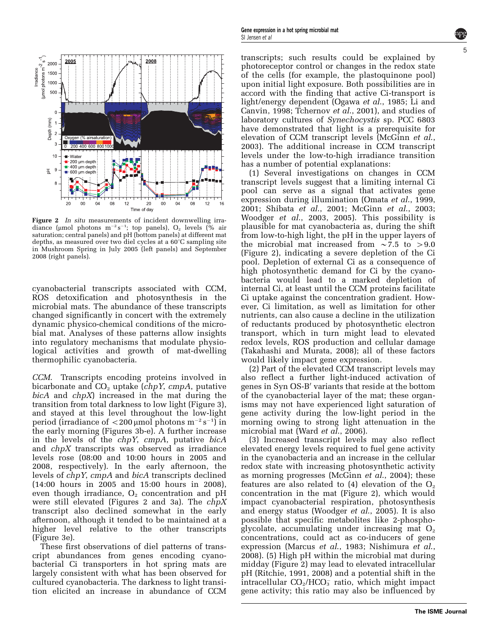<span id="page-4-0"></span>

Figure 2 In situ measurements of incident downwelling irradiance ( $\mu$ mol photons m<sup>-2</sup>s<sup>-1</sup>; top panels), O<sub>2</sub> levels (% air saturation; central panels) and pH (bottom panels) at different mat depths, as measured over two diel cycles at a  $60^{\circ}$ C sampling site in Mushroom Spring in July 2005 (left panels) and September 2008 (right panels).

cyanobacterial transcripts associated with CCM, ROS detoxification and photosynthesis in the microbial mats. The abundance of these transcripts changed significantly in concert with the extremely dynamic physico-chemical conditions of the microbial mat. Analyses of these patterns allow insights into regulatory mechanisms that modulate physiological activities and growth of mat-dwelling thermophilic cyanobacteria.

CCM. Transcripts encoding proteins involved in bicarbonate and  $CO<sub>2</sub>$  uptake (chpY, cmpA, putative bicA and chpX) increased in the mat during the transition from total darkness to low light [\(Figure 3\)](#page-5-0), and stayed at this level throughout the low-light period (irradiance of  $<$  200 µmol photons m $^{-2}$  s $^{-1}$ ) in the early morning ([Figures 3b-e](#page-5-0)). A further increase in the levels of the chpY, cmpA, putative bicA and chpX transcripts was observed as irradiance levels rose (08:00 and 10:00 hours in 2005 and 2008, respectively). In the early afternoon, the levels of chpY, cmpA and bicA transcripts declined (14:00 hours in 2005 and 15:00 hours in 2008), even though irradiance,  $O_2$  concentration and pH were still elevated (Figures 2 and 3a). The  $chpX$ transcript also declined somewhat in the early afternoon, although it tended to be maintained at a higher level relative to the other transcripts [\(Figure 3e](#page-5-0)).

These first observations of diel patterns of transcript abundances from genes encoding cyanobacterial Ci transporters in hot spring mats are largely consistent with what has been observed for cultured cyanobacteria. The darkness to light transition elicited an increase in abundance of CCM

transcripts; such results could be explained by photoreceptor control or changes in the redox state of the cells (for example, the plastoquinone pool) upon initial light exposure. Both possibilities are in accord with the finding that active Ci-transport is light/energy dependent (Ogawa et al[., 1985;](#page-10-0) [Li and](#page-9-0) [Canvin, 1998;](#page-9-0) [Tchernov](#page-10-0) et al., 2001), and studies of laboratory cultures of Synechocystis sp. PCC 6803 have demonstrated that light is a prerequisite for elevation of CCM transcript levels [\(McGinn](#page-9-0) et al., [2003\)](#page-9-0). The additional increase in CCM transcript levels under the low-to-high irradiance transition has a number of potential explanations: (1) Several investigations on changes in CCM

transcript levels suggest that a limiting internal Ci pool can serve as a signal that activates gene expression during illumination (Omata et al[., 1999,](#page-10-0) [2001; Shibata](#page-10-0) et al., 2001; [McGinn](#page-9-0) et al., 2003; Woodger et al[., 2003, 2005](#page-11-0)). This possibility is plausible for mat cyanobacteria as, during the shift from low-to-high light, the pH in the upper layers of the microbial mat increased from  $\sim$  7.5 to  $>$  9.0 (Figure 2), indicating a severe depletion of the Ci pool. Depletion of external Ci as a consequence of high photosynthetic demand for Ci by the cyanobacteria would lead to a marked depletion of internal Ci, at least until the CCM proteins facilitate Ci uptake against the concentration gradient. However, Ci limitation, as well as limitation for other nutrients, can also cause a decline in the utilization of reductants produced by photosynthetic electron transport, which in turn might lead to elevated redox levels, ROS production and cellular damage [\(Takahashi and Murata, 2008\)](#page-10-0); all of these factors would likely impact gene expression.

(2) Part of the elevated CCM transcript levels may also reflect a further light-induced activation of genes in Syn OS-B' variants that reside at the bottom of the cyanobacterial layer of the mat; these organisms may not have experienced light saturation of gene activity during the low-light period in the morning owing to strong light attenuation in the microbial mat (Ward et al[., 2006\)](#page-10-0).

(3) Increased transcript levels may also reflect elevated energy levels required to fuel gene activity in the cyanobacteria and an increase in the cellular redox state with increasing photosynthetic activity as morning progresses ([McGinn](#page-9-0) et al., 2004); these features are also related to  $(4)$  elevation of the  $O<sub>2</sub>$ concentration in the mat (Figure 2), which would impact cyanobacterial respiration, photosynthesis and energy status ([Woodger](#page-11-0) et al., 2005). It is also possible that specific metabolites like 2-phosphoglycolate, accumulating under increasing mat  $O<sub>2</sub>$ concentrations, could act as co-inducers of gene expression [\(Marcus](#page-9-0) et al., 1983; [Nishimura](#page-9-0) et al., [2008\)](#page-9-0). (5) High pH within the microbial mat during midday (Figure 2) may lead to elevated intracellular pH [\(Ritchie, 1991, 2008\)](#page-10-0) and a potential shift in the intracellular  $CO<sub>2</sub>/HCO<sub>3</sub>$  ratio, which might impact gene activity; this ratio may also be influenced by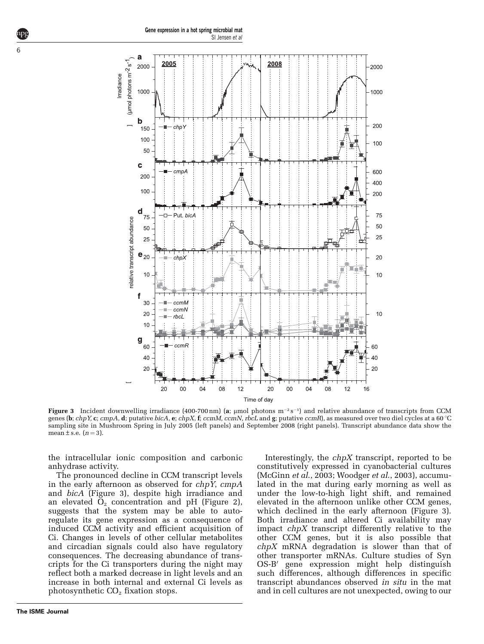<span id="page-5-0"></span>

Figure 3 Incident downwelling irradiance (400-700 nm) (a;  $\mu$ mol photons m<sup>-2</sup> s<sup>-1</sup>) and relative abundance of transcripts from CCM genes (b; chpY, c; cmpA, d; putative bicA, e; chpX, f; ccmM, ccmN, rbcL and g; putative ccmR), as measured over two diel cycles at a 60 °C sampling site in Mushroom Spring in July 2005 (left panels) and September 2008 (right panels). Transcript abundance data show the mean  $\pm$  s.e.  $(n=3)$ .

the intracellular ionic composition and carbonic anhydrase activity.

The pronounced decline in CCM transcript levels in the early afternoon as observed for  $chpY$ ,  $cmpA$ and bicA (Figure 3), despite high irradiance and an elevated  $O<sub>2</sub>$  concentration and pH ([Figure 2](#page-4-0)), suggests that the system may be able to autoregulate its gene expression as a consequence of induced CCM activity and efficient acquisition of Ci. Changes in levels of other cellular metabolites and circadian signals could also have regulatory consequences. The decreasing abundance of transcripts for the Ci transporters during the night may reflect both a marked decrease in light levels and an increase in both internal and external Ci levels as photosynthetic  $CO<sub>2</sub>$  fixation stops.

Interestingly, the  $chpX$  transcript, reported to be constitutively expressed in cyanobacterial cultures ([McGinn](#page-9-0) et al., 2003; [Woodger](#page-11-0) et al., 2003), accumulated in the mat during early morning as well as under the low-to-high light shift, and remained elevated in the afternoon unlike other CCM genes, which declined in the early afternoon (Figure 3). Both irradiance and altered Ci availability may impact chpX transcript differently relative to the other CCM genes, but it is also possible that  $chpX$  mRNA degradation is slower than that of other transporter mRNAs. Culture studies of Syn OS-B' gene expression might help distinguish such differences, although differences in specific transcript abundances observed in situ in the mat and in cell cultures are not unexpected, owing to our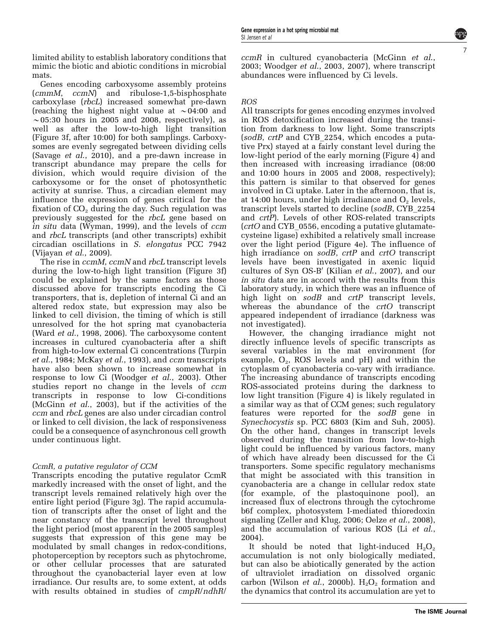limited ability to establish laboratory conditions that mimic the biotic and abiotic conditions in microbial mats.

Genes encoding carboxysome assembly proteins (cmmM, ccmN) and ribulose-1,5-bisphosphate carboxylase (rbcL) increased somewhat pre-dawn (reaching the highest night value at  $\sim 04:00$  and  $\sim$  05:30 hours in 2005 and 2008, respectively), as well as after the low-to-high light transition [\(Figure 3f](#page-5-0), after 10:00) for both samplings. Carboxysomes are evenly segregated between dividing cells (Savage et al[., 2010](#page-10-0)), and a pre-dawn increase in transcript abundance may prepare the cells for division, which would require division of the carboxysome or for the onset of photosynthetic activity at sunrise. Thus, a circadian element may influence the expression of genes critical for the fixation of  $CO<sub>2</sub>$  during the day. Such regulation was previously suggested for the rbcL gene based on in situ data [\(Wyman, 1999\)](#page-11-0), and the levels of ccm and rbcL transcripts (and other transcripts) exhibit circadian oscillations in S. elongatus PCC 7942 [\(Vijayan](#page-10-0) et al., 2009).

The rise in *ccmM*, *ccmN* and *rbcL* transcript levels during the low-to-high light transition [\(Figure 3f](#page-5-0)) could be explained by the same factors as those discussed above for transcripts encoding the Ci transporters, that is, depletion of internal Ci and an altered redox state, but expression may also be linked to cell division, the timing of which is still unresolved for the hot spring mat cyanobacteria (Ward et al[., 1998, 2006\)](#page-10-0). The carboxysome content increases in cultured cyanobacteria after a shift from high-to-low external Ci concentrations [\(Turpin](#page-10-0) et al[., 1984;](#page-10-0) [McKay](#page-9-0) et al., 1993), and ccm transcripts have also been shown to increase somewhat in response to low Ci ([Woodger](#page-11-0) et al., 2003). Other studies report no change in the levels of ccm transcripts in response to low Ci-conditions ([McGinn](#page-9-0) et al., 2003), but if the activities of the ccm and rbcL genes are also under circadian control or linked to cell division, the lack of responsiveness could be a consequence of asynchronous cell growth under continuous light.

#### CcmR, a putative regulator of CCM

Transcripts encoding the putative regulator CcmR markedly increased with the onset of light, and the transcript levels remained relatively high over the entire light period [\(Figure 3g](#page-5-0)). The rapid accumulation of transcripts after the onset of light and the near constancy of the transcript level throughout the light period (most apparent in the 2005 samples) suggests that expression of this gene may be modulated by small changes in redox-conditions, photoperception by receptors such as phytochrome, or other cellular processes that are saturated throughout the cyanobacterial layer even at low irradiance. Our results are, to some extent, at odds with results obtained in studies of cmpR/ndhR/

ccmR in cultured cyanobacteria ([McGinn](#page-9-0) et al., [2003;](#page-9-0) Woodger et al[., 2003, 2007\)](#page-11-0), where transcript abundances were influenced by Ci levels.

#### ROS

All transcripts for genes encoding enzymes involved in ROS detoxification increased during the transition from darkness to low light. Some transcripts (sodB, crtP and CYB\_2254, which encodes a putative Prx) stayed at a fairly constant level during the low-light period of the early morning [\(Figure 4](#page-7-0)) and then increased with increasing irradiance (08:00 and 10:00 hours in 2005 and 2008, respectively); this pattern is similar to that observed for genes involved in Ci uptake. Later in the afternoon, that is, at 14:00 hours, under high irradiance and  $O<sub>2</sub>$  levels, transcript levels started to decline (sodB, CYB\_2254 and crtP). Levels of other ROS-related transcripts (crtO and CYB\_0556, encoding a putative glutamatecysteine ligase) exhibited a relatively small increase over the light period ([Figure 4e\)](#page-7-0). The influence of high irradiance on sodB, crtP and crtO transcript levels have been investigated in axenic liquid cultures of Syn OS-B' (Kilian  $et$   $al., 2007$  $al., 2007$ ), and our in situ data are in accord with the results from this laboratory study, in which there was an influence of high light on sodB and crtP transcript levels, whereas the abundance of the *crtO* transcript appeared independent of irradiance (darkness was not investigated).

However, the changing irradiance might not directly influence levels of specific transcripts as several variables in the mat environment (for example,  $O_2$ , ROS levels and pH) and within the cytoplasm of cyanobacteria co-vary with irradiance. The increasing abundance of transcripts encoding ROS-associated proteins during the darkness to low light transition ([Figure 4](#page-7-0)) is likely regulated in a similar way as that of CCM genes; such regulatory features were reported for the sodB gene in Synechocystis sp. PCC 6803 ([Kim and Suh, 2005\)](#page-9-0). On the other hand, changes in transcript levels observed during the transition from low-to-high light could be influenced by various factors, many of which have already been discussed for the Ci transporters. Some specific regulatory mechanisms that might be associated with this transition in cyanobacteria are a change in cellular redox state (for example, of the plastoquinone pool), an increased flux of electrons through the cytochrome b6f complex, photosystem I-mediated thioredoxin signaling ([Zeller and Klug, 2006](#page-11-0); Oelze et al[., 2008\)](#page-10-0), and the accumulation of various ROS (Li [et al](#page-9-0)., [2004\)](#page-9-0).

It should be noted that light-induced  $H_2O_2$ accumulation is not only biologically mediated, but can also be abiotically generated by the action of ultraviolet irradiation on dissolved organic carbon (Wilson *et al.*, 2000b).  $H_2O_2$  formation and the dynamics that control its accumulation are yet to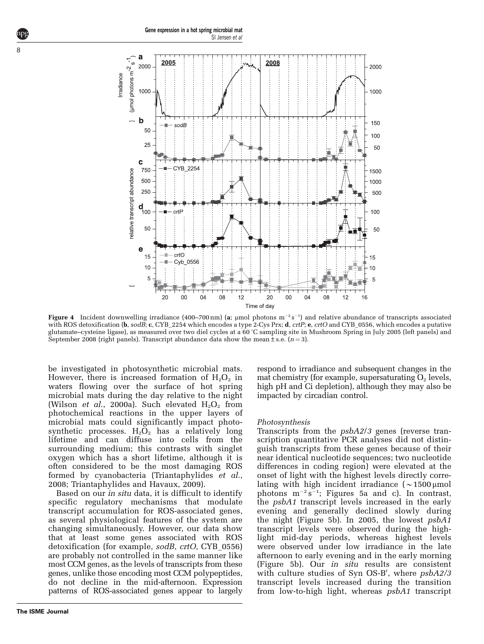<span id="page-7-0"></span>

Figure 4 Incident downwelling irradiance (400–700 nm) (a; µmol photons  $m^{-2} s^{-1}$ ) and relative abundance of transcripts associated with ROS detoxification (b, sodB; c, CYB\_2254 which encodes a type 2-Cys Prx; d, crtP; e, crtO and CYB\_0556, which encodes a putative glutamate–cysteine ligase), as measured over two diel cycles at a 60 1C sampling site in Mushroom Spring in July 2005 (left panels) and September 2008 (right panels). Transcript abundance data show the mean $\pm$  s.e. (n = 3).

be investigated in photosynthetic microbial mats. However, there is increased formation of  $H_2O_2$  in waters flowing over the surface of hot spring microbial mats during the day relative to the night (Wilson *et al.*, 2000a). Such elevated  $H_2O_2$  from photochemical reactions in the upper layers of microbial mats could significantly impact photosynthetic processes.  $H_2O_2$  has a relatively long lifetime and can diffuse into cells from the surrounding medium; this contrasts with singlet oxygen which has a short lifetime, although it is often considered to be the most damaging ROS formed by cyanobacteria ([Triantaphylides](#page-10-0) et al., [2008; Triantaphylides and Havaux, 2009](#page-10-0)).

Based on our in situ data, it is difficult to identify specific regulatory mechanisms that modulate transcript accumulation for ROS-associated genes, as several physiological features of the system are changing simultaneously. However, our data show that at least some genes associated with ROS detoxification (for example, sodB, crtO, CYB\_0556) are probably not controlled in the same manner like most CCM genes, as the levels of transcripts from these genes, unlike those encoding most CCM polypeptides, do not decline in the mid-afternoon. Expression patterns of ROS-associated genes appear to largely respond to irradiance and subsequent changes in the mat chemistry (for example, supersaturating  $O_2$  levels, high pH and Ci depletion), although they may also be impacted by circadian control.

#### Photosynthesis

Transcripts from the psbA2/3 genes (reverse transcription quantitative PCR analyses did not distinguish transcripts from these genes because of their near identical nucleotide sequences; two nucleotide differences in coding region) were elevated at the onset of light with the highest levels directly correlating with high incident irradiance  $\sim 1500 \mu$ mol photons  $m^{-2}s^{-1}$ ; [Figures 5a and c\)](#page-8-0). In contrast, the psbA1 transcript levels increased in the early evening and generally declined slowly during the night ([Figure 5b\)](#page-8-0). In 2005, the lowest psbA1 transcript levels were observed during the highlight mid-day periods, whereas highest levels were observed under low irradiance in the late afternoon to early evening and in the early morning ([Figure 5b\)](#page-8-0). Our in situ results are consistent with culture studies of Syn OS-B', where  $psbA2/3$ transcript levels increased during the transition from low-to-high light, whereas psbA1 transcript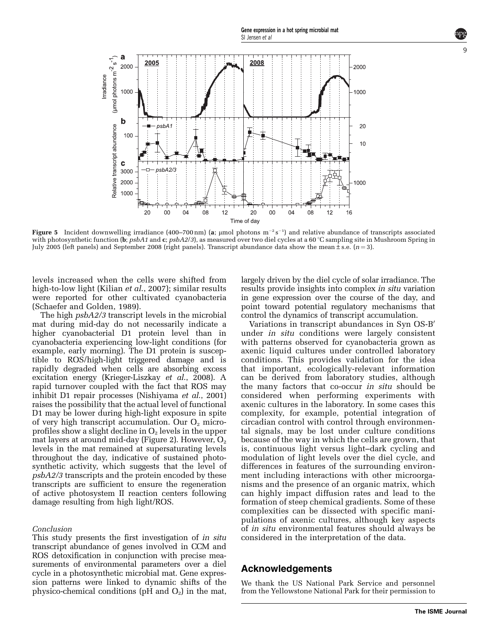<span id="page-8-0"></span>

Figure 5  $\,$  Incident downwelling irradiance (400–700 nm) (a;  $\mu$ mol photons m $^{-2}\,\rm s^{-1}$ ) and relative abundance of transcripts associated with photosynthetic function (b;  $psbA1$  and c;  $psbA2/3$ ), as measured over two diel cycles at a 60 °C sampling site in Mushroom Spring in July 2005 (left panels) and September 2008 (right panels). Transcript abundance data show the mean $\pm$ s.e. (n=3).

levels increased when the cells were shifted from high-to-low light (Kilian *et al.*, 2007); similar results were reported for other cultivated cyanobacteria [\(Schaefer and Golden, 1989\)](#page-10-0).

The high psbA2/3 transcript levels in the microbial mat during mid-day do not necessarily indicate a higher cyanobacterial D1 protein level than in cyanobacteria experiencing low-light conditions (for example, early morning). The D1 protein is susceptible to ROS/high-light triggered damage and is rapidly degraded when cells are absorbing excess excitation energy ([Krieger-Liszkay](#page-9-0) et al., 2008). A rapid turnover coupled with the fact that ROS may inhibit D1 repair processes [\(Nishiyama](#page-10-0) et al., 2001) raises the possibility that the actual level of functional D1 may be lower during high-light exposure in spite of very high transcript accumulation. Our  $O_2$  microprofiles show a slight decline in  $O_2$  levels in the upper mat layers at around mid-day [\(Figure 2\)](#page-4-0). However,  $O<sub>2</sub>$ levels in the mat remained at supersaturating levels throughout the day, indicative of sustained photosynthetic activity, which suggests that the level of psbA2/3 transcripts and the protein encoded by these transcripts are sufficient to ensure the regeneration of active photosystem II reaction centers following damage resulting from high light/ROS.

#### Conclusion

This study presents the first investigation of *in situ* transcript abundance of genes involved in CCM and ROS detoxification in conjunction with precise measurements of environmental parameters over a diel cycle in a photosynthetic microbial mat. Gene expression patterns were linked to dynamic shifts of the physico-chemical conditions ( $pH$  and  $O_2$ ) in the mat, largely driven by the diel cycle of solar irradiance. The results provide insights into complex in situ variation in gene expression over the course of the day, and point toward potential regulatory mechanisms that control the dynamics of transcript accumulation.

Variations in transcript abundances in Syn OS-B' under in situ conditions were largely consistent with patterns observed for cyanobacteria grown as axenic liquid cultures under controlled laboratory conditions. This provides validation for the idea that important, ecologically-relevant information can be derived from laboratory studies, although the many factors that co-occur in situ should be considered when performing experiments with axenic cultures in the laboratory. In some cases this complexity, for example, potential integration of circadian control with control through environmental signals, may be lost under culture conditions because of the way in which the cells are grown, that is, continuous light versus light–dark cycling and modulation of light levels over the diel cycle, and differences in features of the surrounding environment including interactions with other microorganisms and the presence of an organic matrix, which can highly impact diffusion rates and lead to the formation of steep chemical gradients. Some of these complexities can be dissected with specific manipulations of axenic cultures, although key aspects of in situ environmental features should always be considered in the interpretation of the data.

#### Acknowledgements

We thank the US National Park Service and personnel from the Yellowstone National Park for their permission to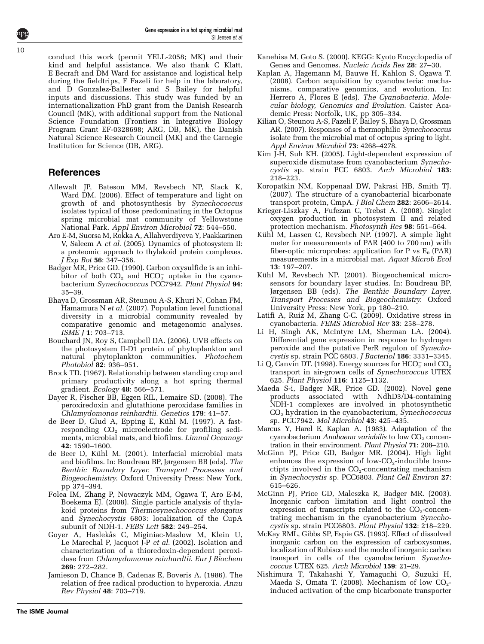**The ISME Journal**

<span id="page-9-0"></span>conduct this work (permit YELL-2058; MK) and their kind and helpful assistance. We also thank C Klatt, E Becraft and DM Ward for assistance and logistical help during the fieldtrips, F Fazeli for help in the laboratory, and D Gonzalez-Ballester and S Bailey for helpful inputs and discussions. This study was funded by an internationalization PhD grant from the Danish Research Council (MK), with additional support from the National Science Foundation (Frontiers in Integrative Biology Program Grant EF-0328698; ARG, DB, MK), the Danish Natural Science Research Council (MK) and the Carnegie Institution for Science (DB, ARG).

#### **References**

- Allewalt JP, Bateson MM, Revsbech NP, Slack K, Ward DM. (2006). Effect of temperature and light on growth of and photosynthesis by Synechococcus isolates typical of those predominating in the Octopus spring microbial mat community of Yellowstone National Park. Appl Environ Microbiol 72: 544–550.
- Aro E-M, Suorsa M, Rokka A, Allahverdiyeva Y, Paakkarinen V, Saleem A et al. (2005). Dynamics of photosystem II: a proteomic approach to thylakoid protein complexes. J Exp Bot 56: 347–356.
- Badger MR, Price GD. (1990). Carbon oxysulfide is an inhibitor of both  $CO<sub>2</sub>$  and HCO<sub>3</sub> uptake in the cyanobacterium Synechococcus PCC7942. Plant Physiol 94: 35–39.
- Bhaya D, Grossman AR, Steunou A-S, Khuri N, Cohan FM, Hamamura N et al. (2007). Population level functional diversity in a microbial community revealed by comparative genomic and metagenomic analyses. ISME J 1: 703–713.
- Bouchard JN, Roy S, Campbell DA. (2006). UVB effects on the photosystem II-D1 protein of phytoplankton and natural phytoplankton communities. Photochem Photobiol 82: 936–951.
- Brock TD. (1967). Relationship between standing crop and primary productivity along a hot spring thermal gradient. Ecology 48: 566–571.
- Dayer R, Fischer BB, Eggen RIL, Lemaire SD. (2008). The peroxiredoxin and glutathione peroxidase families in Chlamydomonas reinhardtii. Genetics 179: 41–57.
- de Beer D, Glud A, Epping E, Kühl M. (1997). A fastresponding  $CO<sub>2</sub>$  microelectrode for profiling sediments, microbial mats, and biofilms. Limnol Oceanogr 42: 1590–1600.
- de Beer D, Kühl M. (2001). Interfacial microbial mats and biofilms. In: Boudreau BP, Jørgensen BB (eds). The Benthic Boundary Layer. Transport Processes and Biogeochemistry. Oxford University Press: New York, pp 374–394.
- Folea IM, Zhang P, Nowaczyk MM, Ogawa T, Aro E-M, Boekema EJ. (2008). Single particle analysis of thylakoid proteins from Thermosynechococcus elongatus and Synechocystis 6803: localization of the CupA subunit of NDH-1. FEBS Lett 582: 249–254.
- Goyer A, Haslekås C, Miginiac-Maslow M, Klein U, Le Marechal P, Jacquot J-P et al. (2002). Isolation and characterization of a thioredoxin-dependent peroxidase from Chlamydomonas reinhardtii. Eur J Biochem 269: 272–282.
- Jamieson D, Chance B, Cadenas E, Boveris A. (1986). The relation of free radical production to hyperoxia. Annu Rev Physiol 48: 703–719.
- Kanehisa M, Goto S. (2000). KEGG: Kyoto Encyclopedia of Genes and Genomes. Nucleic Acids Res 28: 27–30.
- Kaplan A, Hagemann M, Bauwe H, Kahlon S, Ogawa T. (2008). Carbon acquisition by cyanobacteria: mechanisms, comparative genomics, and evolution. In: Herrero A, Flores E (eds). The Cyanobacteria. Molecular biology, Genomics and Evolution. Caister Academic Press: Norfolk, UK, pp 305–334.
- Kilian O, Steunou A-S, Fazeli F, Bailey S, Bhaya D, Grossman AR. (2007). Responses of a thermophilic Synechococcus isolate from the microbial mat of octopus spring to light. Appl Environ Microbiol 73: 4268–4278.
- Kim J-H, Suh KH. (2005). Light-dependent expression of superoxide dismutase from cyanobacterium Synechocystis sp. strain PCC 6803. Arch Microbiol 183: 218–223.
- Koropatkin NM, Koppenaal DW, Pakrasi HB, Smith TJ. (2007). The structure of a cyanobacterial bicarbonate transport protein, CmpA. J Biol Chem 282: 2606–2614.
- Krieger-Liszkay A, Fufezan C, Trebst A. (2008). Singlet oxygen production in photosystem II and related protection mechanism. Photosynth Res 98: 551–564.
- Kühl M, Lassen C, Revsbech NP. (1997). A simple light meter for measurements of PAR (400 to 700 nm) with fiber-optic microprobes: application for P vs  $E_0$  (PAR) measurements in a microbial mat. Aquat Microb Ecol 13: 197–207.
- Kühl M, Revsbech NP. (2001). Biogeochemical microsensors for boundary layer studies. In: Boudreau BP, Jørgensen BB (eds). The Benthic Boundary Layer. Transport Processes and Biogeochemistry. Oxford University Press: New York, pp 180–210.
- Latifi A, Ruiz M, Zhang C-C. (2009). Oxidative stress in cyanobacteria. FEMS Microbiol Rev 33: 258–278.
- Li H, Singh AK, McIntyre LM, Sherman LA. (2004). Differential gene expression in response to hydrogen peroxide and the putative PerR regulon of Synechocystis sp. strain PCC 6803. J Bacteriol 186: 3331–3345.
- Li Q, Canvin DT. (1998). Energy sources for HCO<sub>3</sub> and CO<sub>2</sub> transport in air-grown cells of Synechococcus UTEX 625. Plant Physiol 116: 1125–1132.
- Maeda S-i, Badger MR, Price GD. (2002). Novel gene products associated with NdhD3/D4-containing NDH-1 complexes are involved in photosynthetic CO2 hydration in the cyanobacterium, Synechococcus sp. PCC7942. Mol Microbiol 43: 425–435.
- Marcus Y, Harel E, Kaplan A. (1983). Adaptation of the cyanobacterium Anabaena variabilis to low  $CO<sub>2</sub>$  concentration in their environment. Plant Physiol 71: 208–210.
- McGinn PJ, Price GD, Badger MR. (2004). High light enhances the expression of low- $CO<sub>2</sub>$ -inducible transctipts involved in the  $CO<sub>2</sub>$ -concentrating mechanism in Synechocystis sp. PCC6803. Plant Cell Environ 27: 615–626.
- McGinn PJ, Price GD, Maleszka R, Badger MR. (2003). Inorganic carbon limitation and light control the expression of transcripts related to the  $CO<sub>2</sub>$ -concentrating mechanism in the cyanobacterium Synechocystis sp. strain PCC6803. Plant Physiol 132: 218–229.
- McKay RML, Gibbs SP, Espie GS. (1993). Effect of dissolved inorganic carbon on the expression of carboxysomes, localization of Rubisco and the mode of inorganic carbon transport in cells of the cyanobacterium Synechococcus UTEX 625. Arch Microbiol 159: 21–29.
- Nishimura T, Takahashi Y, Yamaguchi O, Suzuki H, Maeda S, Omata T. (2008). Mechanism of low CO<sub>2</sub>induced activation of the cmp bicarbonate transporter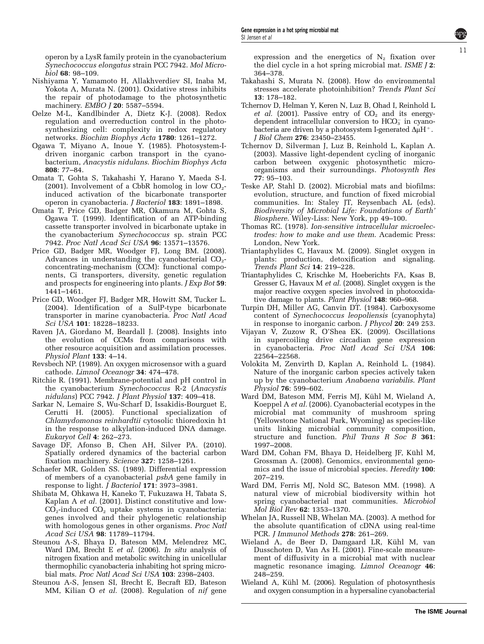<span id="page-10-0"></span>operon by a LysR family protein in the cyanobacterium Synechococcus elongatus strain PCC 7942. Mol Microbiol 68: 98–109.

- Nishiyama Y, Yamamoto H, Allakhverdiev SI, Inaba M, Yokota A, Murata N. (2001). Oxidative stress inhibits the repair of photodamage to the photosynthetic machinery. EMBO J 20: 5587-5594.
- Oelze M-L, Kandlbinder A, Dietz K-J. (2008). Redox regulation and overreduction control in the photosynthesizing cell: complexity in redox regulatory networks. Biochim Biophys Acta 1780: 1261–1272.
- Ogawa T, Miyano A, Inoue Y. (1985). Photosystem-Idriven inorganic carbon transport in the cyanobacterium, Anacystis nidulans. Biochim Biophys Acta 808: 77–84.
- Omata T, Gohta S, Takahashi Y, Harano Y, Maeda S-I. (2001). Involvement of a CbbR homolog in low  $CO<sub>2</sub>$ induced activation of the bicarbonate transporter operon in cyanobacteria. J Bacteriol 183: 1891–1898.
- Omata T, Price GD, Badger MR, Okamura M, Gohta S, Ogawa T. (1999). Identification of an ATP-binding cassette transporter involved in bicarbonate uptake in the cyanobacterium Synechococcus sp. strain PCC 7942. Proc Natl Acad Sci USA 96: 13571–13576.
- Price GD, Badger MR, Woodger FJ, Long BM. (2008). Advances in understanding the cyanobacterial  $CO<sub>2</sub>$ concentrating-mechanism (CCM): functional components, Ci transporters, diversity, genetic regulation and prospects for engineering into plants. *J Exp Bot* 59: 1441–1461.
- Price GD, Woodger FJ, Badger MR, Howitt SM, Tucker L. (2004). Identification of a SulP-type bicarbonate transporter in marine cyanobacteria. Proc Natl Acad Sci USA 101: 18228-18233.
- Raven JA, Giordano M, Beardall J. (2008). Insights into the evolution of CCMs from comparisons with other resource acquisition and assimilation processes. Physiol Plant 133: 4–14.
- Revsbech NP. (1989). An oxygen microsensor with a guard cathode. Limnol Oceanogr 34: 474–478.
- Ritchie R. (1991). Membrane-potential and pH control in the cyanobacterium Synechococcus R-2 (Anacystis nidulans) PCC 7942. J Plant Physiol 137: 409–418.
- Sarkar N, Lemaire S, Wu-Scharf D, Issakidis-Bourguet E, Cerutti H. (2005). Functional specialization of Chlamydomonas reinhardtii cytosolic thioredoxin h1 in the response to alkylation-induced DNA damage. Eukaryot Cell 4: 262–273.
- Savage DF, Afonso B, Chen AH, Silver PA. (2010). Spatially ordered dynamics of the bacterial carbon fixation machinery. Science 327: 1258–1261.
- Schaefer MR, Golden SS. (1989). Differential expression of members of a cyanobacterial psbA gene family in response to light. J Bacteriol 171: 3973–3981.
- Shibata M, Ohkawa H, Kaneko T, Fukuzawa H, Tabata S, Kaplan A et al. (2001). Distinct constitutive and low- $CO<sub>2</sub>$ -induced  $CO<sub>2</sub>$  uptake systems in cyanobacteria: genes involved and their phylogenetic relationship with homologous genes in other organisms. Proc Natl Acad Sci USA 98: 11789–11794.
- Steunou A-S, Bhaya D, Bateson MM, Melendrez MC, Ward DM, Brecht E et al. (2006). In situ analysis of nitrogen fixation and metabolic switching in unicellular thermophilic cyanobacteria inhabiting hot spring microbial mats. Proc Natl Acad Sci USA 103: 2398–2403.
- Steunou A-S, Jensen SI, Brecht E, Becraft ED, Bateson MM, Kilian O et al. (2008). Regulation of nif gene

expression and the energetics of  $N_2$  fixation over the diel cycle in a hot spring microbial mat. ISME J 2: 364–378.

- Takahashi S, Murata N. (2008). How do environmental stresses accelerate photoinhibition? Trends Plant Sci 13: 178–182.
- Tchernov D, Helman Y, Keren N, Luz B, Ohad I, Reinhold L et al. (2001). Passive entry of  $CO<sub>2</sub>$  and its energydependent intracellular conversion to  $HCO<sub>3</sub>$  in cyanobacteria are driven by a photosystem I-generated  $\Delta \mu$ H<sup>+</sup>. J Biol Chem 276: 23450–23455.
- Tchernov D, Silverman J, Luz B, Reinhold L, Kaplan A. (2003). Massive light-dependent cycling of inorganic carbon between oxygenic photosynthetic microorganisms and their surroundings. Photosynth Res 77: 95–103.
- Teske AP, Stahl D. (2002). Microbial mats and biofilms: evolution, structure, and function of fixed microbial communities. In: Staley JT, Reysenbach AL (eds). Biodiversity of Microbial Life: Foundations of Earth' Biosphere. Wiley-Liss: New York, pp 49–100.
- Thomas RC. (1978). Ion-sensitive intracellular microelectrodes: how to make and use them. Academic Press: London, New York.
- Triantaphylides C, Havaux M. (2009). Singlet oxygen in plants: production, detoxification and signaling. Trends Plant Sci 14: 219–228.
- Triantaphylides C, Krischke M, Hoeberichts FA, Ksas B, Gresser G, Havaux M et al. (2008). Singlet oxygen is the major reactive oxygen species involved in photooxidative damage to plants. Plant Physiol 148: 960–968.
- Turpin DH, Miller AG, Canvin DT. (1984). Carboxysome content of Synechococcus leopoliensis (cyanophyta) in response to inorganic carbon. J Phycol 20: 249 253.
- Vijayan V, Zuzow R, O'Shea EK. (2009). Oscillations in supercoiling drive circadian gene expression in cyanobacteria. Proc Natl Acad Sci USA 106: 22564–22568.
- Volokita M, Zenvirth D, Kaplan A, Reinhold L. (1984). Nature of the inorganic carbon species actively taken up by the cyanobacterium Anabaena variabilis. Plant Physiol 76: 599–602.
- Ward DM, Bateson MM, Ferris MJ, Kühl M, Wieland A, Koeppel A et al. (2006). Cyanobacterial ecotypes in the microbial mat community of mushroom spring (Yellowstone National Park, Wyoming) as species-like units linking microbial community composition, structure and function. Phil Trans R Soc B 361: 1997–2008.
- Ward DM, Cohan FM, Bhaya D, Heidelberg JF, Kühl M, Grossman A. (2008). Genomics, environmental genomics and the issue of microbial species. Heredity 100: 207–219.
- Ward DM, Ferris MJ, Nold SC, Bateson MM. (1998). A natural view of microbial biodiversity within hot spring cyanobacterial mat communities. Microbiol Mol Biol Rev 62: 1353–1370.
- Whelan JA, Russell NB, Whelan MA. (2003). A method for the absolute quantification of cDNA using real-time PCR. J Immunol Methods 278: 261–269.
- Wieland A, de Beer D, Damgaard LR, Kühl M, van Dusschoten D, Van As H. (2001). Fine-scale measurement of diffusivity in a microbial mat with nuclear magnetic resonance imaging. Limnol Oceanogr 46: 248–259.
- Wieland A, Kühl M. (2006). Regulation of photosynthesis and oxygen consumption in a hypersaline cyanobacterial